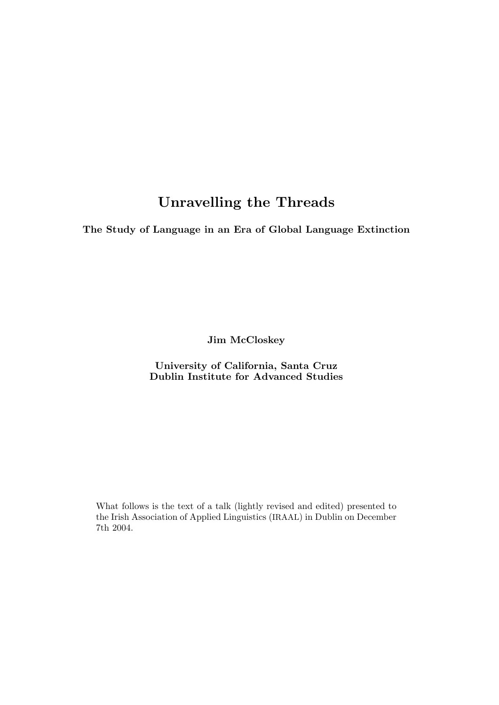# Unravelling the Threads

The Study of Language in an Era of Global Language Extinction

Jim McCloskey

University of California, Santa Cruz Dublin Institute for Advanced Studies

What follows is the text of a talk (lightly revised and edited) presented to the Irish Association of Applied Linguistics (IRAAL) in Dublin on December 7th 2004.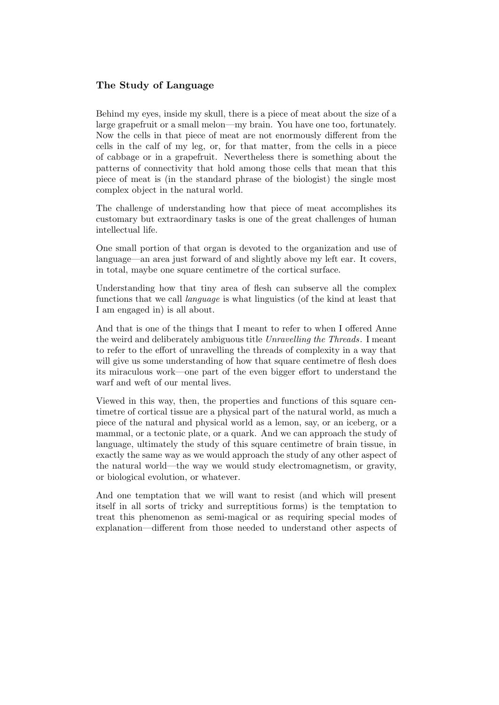# The Study of Language

Behind my eyes, inside my skull, there is a piece of meat about the size of a large grapefruit or a small melon—my brain. You have one too, fortunately. Now the cells in that piece of meat are not enormously different from the cells in the calf of my leg, or, for that matter, from the cells in a piece of cabbage or in a grapefruit. Nevertheless there is something about the patterns of connectivity that hold among those cells that mean that this piece of meat is (in the standard phrase of the biologist) the single most complex object in the natural world.

The challenge of understanding how that piece of meat accomplishes its customary but extraordinary tasks is one of the great challenges of human intellectual life.

One small portion of that organ is devoted to the organization and use of language—an area just forward of and slightly above my left ear. It covers, in total, maybe one square centimetre of the cortical surface.

Understanding how that tiny area of flesh can subserve all the complex functions that we call language is what linguistics (of the kind at least that I am engaged in) is all about.

And that is one of the things that I meant to refer to when I offered Anne the weird and deliberately ambiguous title Unravelling the Threads. I meant to refer to the effort of unravelling the threads of complexity in a way that will give us some understanding of how that square centimetre of flesh does its miraculous work—one part of the even bigger effort to understand the warf and weft of our mental lives.

Viewed in this way, then, the properties and functions of this square centimetre of cortical tissue are a physical part of the natural world, as much a piece of the natural and physical world as a lemon, say, or an iceberg, or a mammal, or a tectonic plate, or a quark. And we can approach the study of language, ultimately the study of this square centimetre of brain tissue, in exactly the same way as we would approach the study of any other aspect of the natural world—the way we would study electromagnetism, or gravity, or biological evolution, or whatever.

And one temptation that we will want to resist (and which will present itself in all sorts of tricky and surreptitious forms) is the temptation to treat this phenomenon as semi-magical or as requiring special modes of explanation—different from those needed to understand other aspects of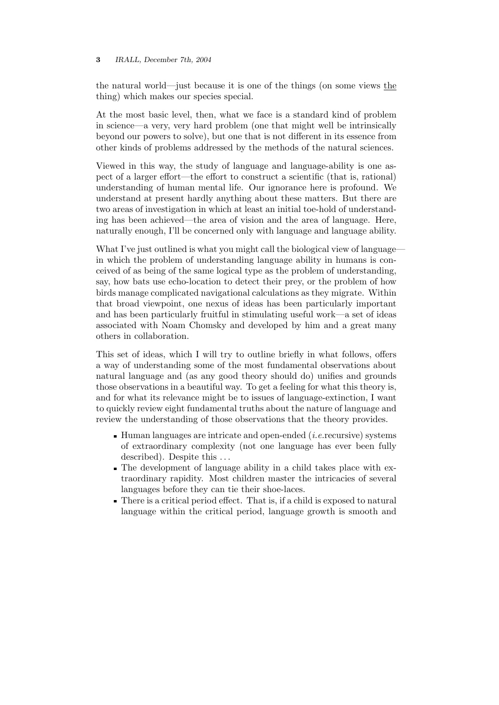the natural world—just because it is one of the things (on some views the thing) which makes our species special.

At the most basic level, then, what we face is a standard kind of problem in science—a very, very hard problem (one that might well be intrinsically beyond our powers to solve), but one that is not different in its essence from other kinds of problems addressed by the methods of the natural sciences.

Viewed in this way, the study of language and language-ability is one aspect of a larger effort—the effort to construct a scientific (that is, rational) understanding of human mental life. Our ignorance here is profound. We understand at present hardly anything about these matters. But there are two areas of investigation in which at least an initial toe-hold of understanding has been achieved—the area of vision and the area of language. Here, naturally enough, I'll be concerned only with language and language ability.

What I've just outlined is what you might call the biological view of language in which the problem of understanding language ability in humans is conceived of as being of the same logical type as the problem of understanding, say, how bats use echo-location to detect their prey, or the problem of how birds manage complicated navigational calculations as they migrate. Within that broad viewpoint, one nexus of ideas has been particularly important and has been particularly fruitful in stimulating useful work—a set of ideas associated with Noam Chomsky and developed by him and a great many others in collaboration.

This set of ideas, which I will try to outline briefly in what follows, offers a way of understanding some of the most fundamental observations about natural language and (as any good theory should do) unifies and grounds those observations in a beautiful way. To get a feeling for what this theory is, and for what its relevance might be to issues of language-extinction, I want to quickly review eight fundamental truths about the nature of language and review the understanding of those observations that the theory provides.

- $\blacksquare$  Human languages are intricate and open-ended (*i.e.* recursive) systems of extraordinary complexity (not one language has ever been fully described). Despite this ...
- The development of language ability in a child takes place with extraordinary rapidity. Most children master the intricacies of several languages before they can tie their shoe-laces.
- There is a critical period effect. That is, if a child is exposed to natural language within the critical period, language growth is smooth and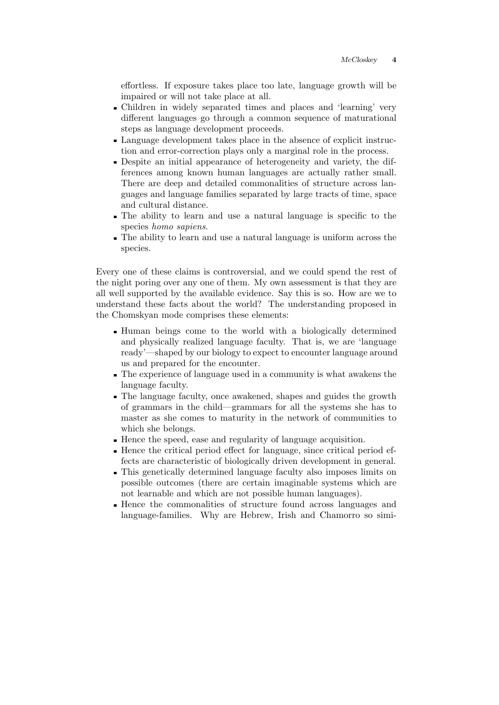effortless. If exposure takes place too late, language growth will be impaired or will not take place at all.

- Children in widely separated times and places and 'learning' very different languages go through a common sequence of maturational steps as language development proceeds.
- Language development takes place in the absence of explicit instruction and error-correction plays only a marginal role in the process.
- Despite an initial appearance of heterogeneity and variety, the differences among known human languages are actually rather small. There are deep and detailed commonalities of structure across languages and language families separated by large tracts of time, space and cultural distance.
- The ability to learn and use a natural language is specific to the species homo sapiens.
- The ability to learn and use a natural language is uniform across the species.

Every one of these claims is controversial, and we could spend the rest of the night poring over any one of them. My own assessment is that they are all well supported by the available evidence. Say this is so. How are we to understand these facts about the world? The understanding proposed in the Chomskyan mode comprises these elements:

- Human beings come to the world with a biologically determined and physically realized language faculty. That is, we are 'language ready'—shaped by our biology to expect to encounter language around us and prepared for the encounter.
- The experience of language used in a community is what awakens the language faculty.
- The language faculty, once awakened, shapes and guides the growth of grammars in the child—grammars for all the systems she has to master as she comes to maturity in the network of communities to which she belongs.
- Hence the speed, ease and regularity of language acquisition.
- Hence the critical period effect for language, since critical period effects are characteristic of biologically driven development in general.
- This genetically determined language faculty also imposes limits on possible outcomes (there are certain imaginable systems which are not learnable and which are not possible human languages).
- Hence the commonalities of structure found across languages and language-families. Why are Hebrew, Irish and Chamorro so simi-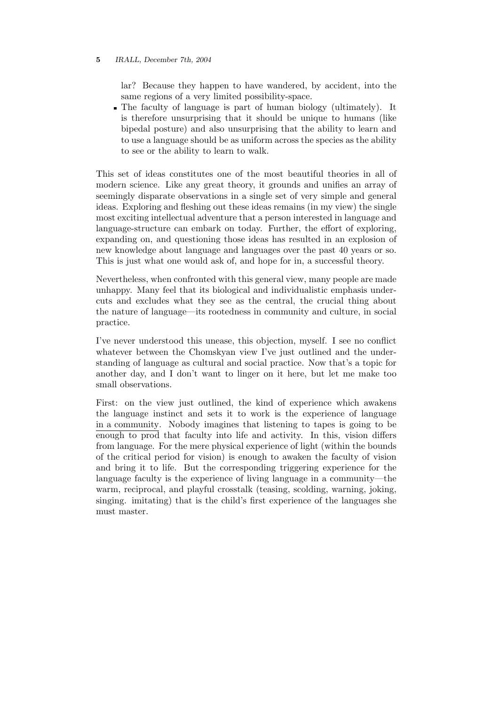lar? Because they happen to have wandered, by accident, into the same regions of a very limited possibility-space.

The faculty of language is part of human biology (ultimately). It is therefore unsurprising that it should be unique to humans (like bipedal posture) and also unsurprising that the ability to learn and to use a language should be as uniform across the species as the ability to see or the ability to learn to walk.

This set of ideas constitutes one of the most beautiful theories in all of modern science. Like any great theory, it grounds and unifies an array of seemingly disparate observations in a single set of very simple and general ideas. Exploring and fleshing out these ideas remains (in my view) the single most exciting intellectual adventure that a person interested in language and language-structure can embark on today. Further, the effort of exploring, expanding on, and questioning those ideas has resulted in an explosion of new knowledge about language and languages over the past 40 years or so. This is just what one would ask of, and hope for in, a successful theory.

Nevertheless, when confronted with this general view, many people are made unhappy. Many feel that its biological and individualistic emphasis undercuts and excludes what they see as the central, the crucial thing about the nature of language—its rootedness in community and culture, in social practice.

I've never understood this unease, this objection, myself. I see no conflict whatever between the Chomskyan view I've just outlined and the understanding of language as cultural and social practice. Now that's a topic for another day, and I don't want to linger on it here, but let me make too small observations.

First: on the view just outlined, the kind of experience which awakens the language instinct and sets it to work is the experience of language in a community. Nobody imagines that listening to tapes is going to be enough to prod that faculty into life and activity. In this, vision differs from language. For the mere physical experience of light (within the bounds of the critical period for vision) is enough to awaken the faculty of vision and bring it to life. But the corresponding triggering experience for the language faculty is the experience of living language in a community—the warm, reciprocal, and playful crosstalk (teasing, scolding, warning, joking, singing. imitating) that is the child's first experience of the languages she must master.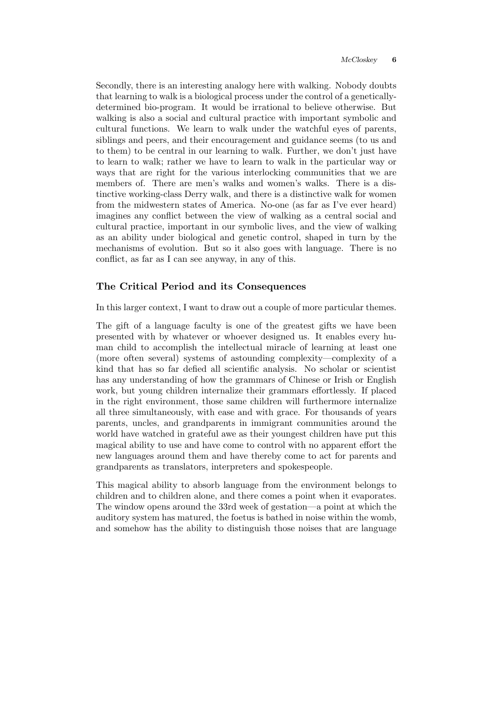Secondly, there is an interesting analogy here with walking. Nobody doubts that learning to walk is a biological process under the control of a geneticallydetermined bio-program. It would be irrational to believe otherwise. But walking is also a social and cultural practice with important symbolic and cultural functions. We learn to walk under the watchful eyes of parents, siblings and peers, and their encouragement and guidance seems (to us and to them) to be central in our learning to walk. Further, we don't just have to learn to walk; rather we have to learn to walk in the particular way or ways that are right for the various interlocking communities that we are members of. There are men's walks and women's walks. There is a distinctive working-class Derry walk, and there is a distinctive walk for women from the midwestern states of America. No-one (as far as I've ever heard) imagines any conflict between the view of walking as a central social and cultural practice, important in our symbolic lives, and the view of walking as an ability under biological and genetic control, shaped in turn by the mechanisms of evolution. But so it also goes with language. There is no conflict, as far as I can see anyway, in any of this.

# The Critical Period and its Consequences

In this larger context, I want to draw out a couple of more particular themes.

The gift of a language faculty is one of the greatest gifts we have been presented with by whatever or whoever designed us. It enables every human child to accomplish the intellectual miracle of learning at least one (more often several) systems of astounding complexity—complexity of a kind that has so far defied all scientific analysis. No scholar or scientist has any understanding of how the grammars of Chinese or Irish or English work, but young children internalize their grammars effortlessly. If placed in the right environment, those same children will furthermore internalize all three simultaneously, with ease and with grace. For thousands of years parents, uncles, and grandparents in immigrant communities around the world have watched in grateful awe as their youngest children have put this magical ability to use and have come to control with no apparent effort the new languages around them and have thereby come to act for parents and grandparents as translators, interpreters and spokespeople.

This magical ability to absorb language from the environment belongs to children and to children alone, and there comes a point when it evaporates. The window opens around the 33rd week of gestation—a point at which the auditory system has matured, the foetus is bathed in noise within the womb, and somehow has the ability to distinguish those noises that are language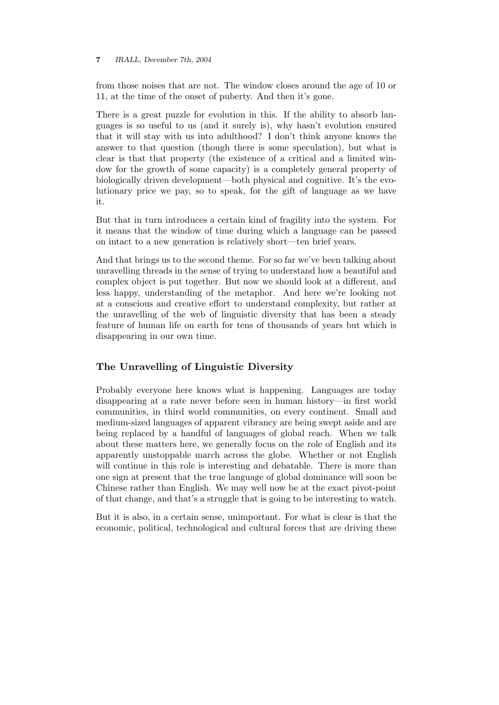from those noises that are not. The window closes around the age of 10 or 11, at the time of the onset of puberty. And then it's gone.

There is a great puzzle for evolution in this. If the ability to absorb languages is so useful to us (and it surely is), why hasn't evolution ensured that it will stay with us into adulthood? I don't think anyone knows the answer to that question (though there is some speculation), but what is clear is that that property (the existence of a critical and a limited window for the growth of some capacity) is a completely general property of biologically driven development—both physical and cognitive. It's the evolutionary price we pay, so to speak, for the gift of language as we have it.

But that in turn introduces a certain kind of fragility into the system. For it means that the window of time during which a language can be passed on intact to a new generation is relatively short—ten brief years.

And that brings us to the second theme. For so far we've been talking about unravelling threads in the sense of trying to understand how a beautiful and complex object is put together. But now we should look at a different, and less happy, understanding of the metaphor. And here we're looking not at a conscious and creative effort to understand complexity, but rather at the unravelling of the web of linguistic diversity that has been a steady feature of human life on earth for tens of thousands of years but which is disappearing in our own time.

# The Unravelling of Linguistic Diversity

Probably everyone here knows what is happening. Languages are today disappearing at a rate never before seen in human history—in first world communities, in third world communities, on every continent. Small and medium-sized languages of apparent vibrancy are being swept aside and are being replaced by a handful of languages of global reach. When we talk about these matters here, we generally focus on the role of English and its apparently unstoppable march across the globe. Whether or not English will continue in this role is interesting and debatable. There is more than one sign at present that the true language of global dominance will soon be Chinese rather than English. We may well now be at the exact pivot-point of that change, and that's a struggle that is going to be interesting to watch.

But it is also, in a certain sense, unimportant. For what is clear is that the economic, political, technological and cultural forces that are driving these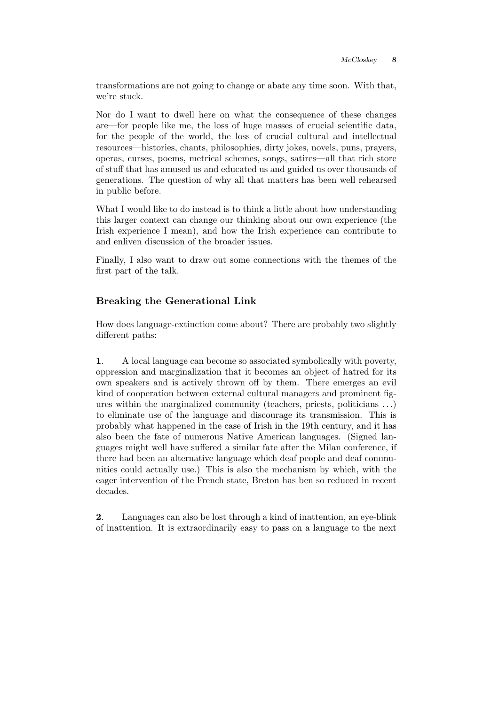transformations are not going to change or abate any time soon. With that, we're stuck.

Nor do I want to dwell here on what the consequence of these changes are—for people like me, the loss of huge masses of crucial scientific data, for the people of the world, the loss of crucial cultural and intellectual resources—histories, chants, philosophies, dirty jokes, novels, puns, prayers, operas, curses, poems, metrical schemes, songs, satires—all that rich store of stuff that has amused us and educated us and guided us over thousands of generations. The question of why all that matters has been well rehearsed in public before.

What I would like to do instead is to think a little about how understanding this larger context can change our thinking about our own experience (the Irish experience I mean), and how the Irish experience can contribute to and enliven discussion of the broader issues.

Finally, I also want to draw out some connections with the themes of the first part of the talk.

# Breaking the Generational Link

How does language-extinction come about? There are probably two slightly different paths:

1. A local language can become so associated symbolically with poverty, oppression and marginalization that it becomes an object of hatred for its own speakers and is actively thrown off by them. There emerges an evil kind of cooperation between external cultural managers and prominent figures within the marginalized community (teachers, priests, politicians . . .) to eliminate use of the language and discourage its transmission. This is probably what happened in the case of Irish in the 19th century, and it has also been the fate of numerous Native American languages. (Signed languages might well have suffered a similar fate after the Milan conference, if there had been an alternative language which deaf people and deaf communities could actually use.) This is also the mechanism by which, with the eager intervention of the French state, Breton has ben so reduced in recent decades.

2. Languages can also be lost through a kind of inattention, an eye-blink of inattention. It is extraordinarily easy to pass on a language to the next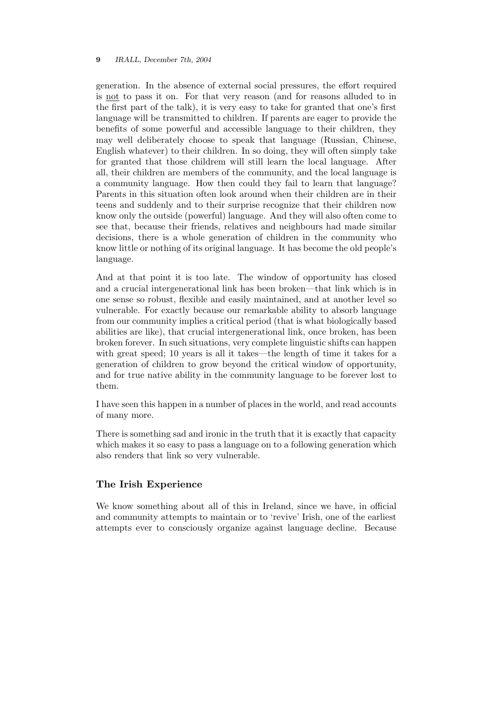generation. In the absence of external social pressures, the effort required is not to pass it on. For that very reason (and for reasons alluded to in the first part of the talk), it is very easy to take for granted that one's first language will be transmitted to children. If parents are eager to provide the benefits of some powerful and accessible language to their children, they may well deliberately choose to speak that language (Russian, Chinese, English whatever) to their children. In so doing, they will often simply take for granted that those childrem will still learn the local language. After all, their children are members of the community, and the local language is a community language. How then could they fail to learn that language? Parents in this situation often look around when their children are in their teens and suddenly and to their surprise recognize that their children now know only the outside (powerful) language. And they will also often come to see that, because their friends, relatives and neighbours had made similar decisions, there is a whole generation of children in the community who know little or nothing of its original language. It has become the old people's language.

And at that point it is too late. The window of opportunity has closed and a crucial intergenerational link has been broken—that link which is in one sense so robust, flexible and easily maintained, and at another level so vulnerable. For exactly because our remarkable ability to absorb language from our community implies a critical period (that is what biologically based abilities are like), that crucial intergenerational link, once broken, has been broken forever. In such situations, very complete linguistic shifts can happen with great speed; 10 years is all it takes—the length of time it takes for a generation of children to grow beyond the critical window of opportunity, and for true native ability in the community language to be forever lost to them.

I have seen this happen in a number of places in the world, and read accounts of many more.

There is something sad and ironic in the truth that it is exactly that capacity which makes it so easy to pass a language on to a following generation which also renders that link so very vulnerable.

## The Irish Experience

We know something about all of this in Ireland, since we have, in official and community attempts to maintain or to 'revive' Irish, one of the earliest attempts ever to consciously organize against language decline. Because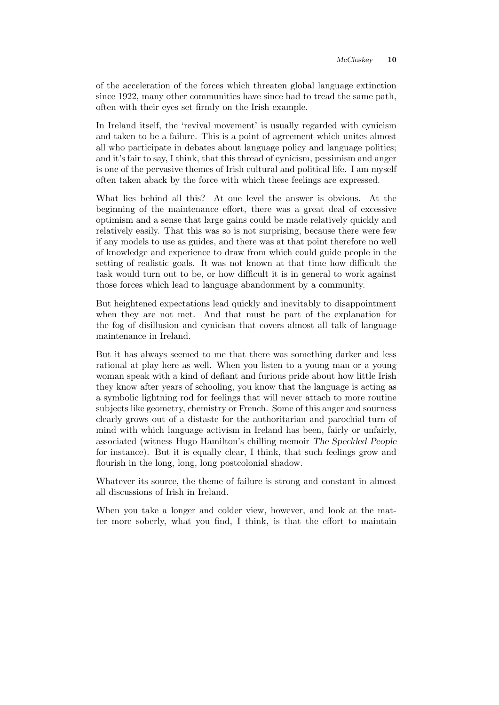of the acceleration of the forces which threaten global language extinction since 1922, many other communities have since had to tread the same path, often with their eyes set firmly on the Irish example.

In Ireland itself, the 'revival movement' is usually regarded with cynicism and taken to be a failure. This is a point of agreement which unites almost all who participate in debates about language policy and language politics; and it's fair to say, I think, that this thread of cynicism, pessimism and anger is one of the pervasive themes of Irish cultural and political life. I am myself often taken aback by the force with which these feelings are expressed.

What lies behind all this? At one level the answer is obvious. At the beginning of the maintenance effort, there was a great deal of excessive optimism and a sense that large gains could be made relatively quickly and relatively easily. That this was so is not surprising, because there were few if any models to use as guides, and there was at that point therefore no well of knowledge and experience to draw from which could guide people in the setting of realistic goals. It was not known at that time how difficult the task would turn out to be, or how difficult it is in general to work against those forces which lead to language abandonment by a community.

But heightened expectations lead quickly and inevitably to disappointment when they are not met. And that must be part of the explanation for the fog of disillusion and cynicism that covers almost all talk of language maintenance in Ireland.

But it has always seemed to me that there was something darker and less rational at play here as well. When you listen to a young man or a young woman speak with a kind of defiant and furious pride about how little Irish they know after years of schooling, you know that the language is acting as a symbolic lightning rod for feelings that will never attach to more routine subjects like geometry, chemistry or French. Some of this anger and sourness clearly grows out of a distaste for the authoritarian and parochial turn of mind with which language activism in Ireland has been, fairly or unfairly, associated (witness Hugo Hamilton's chilling memoir The Speckled People for instance). But it is equally clear, I think, that such feelings grow and flourish in the long, long, long postcolonial shadow.

Whatever its source, the theme of failure is strong and constant in almost all discussions of Irish in Ireland.

When you take a longer and colder view, however, and look at the matter more soberly, what you find, I think, is that the effort to maintain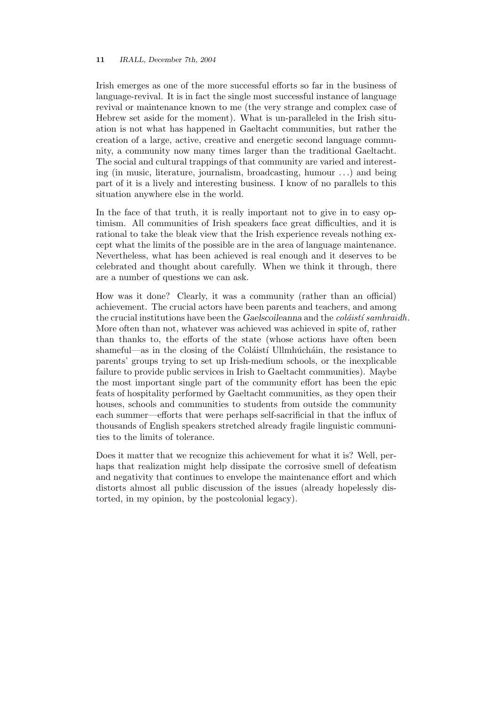Irish emerges as one of the more successful efforts so far in the business of language-revival. It is in fact the single most successful instance of language revival or maintenance known to me (the very strange and complex case of Hebrew set aside for the moment). What is un-paralleled in the Irish situation is not what has happened in Gaeltacht communities, but rather the creation of a large, active, creative and energetic second language community, a community now many times larger than the traditional Gaeltacht. The social and cultural trappings of that community are varied and interesting (in music, literature, journalism, broadcasting, humour . . .) and being part of it is a lively and interesting business. I know of no parallels to this situation anywhere else in the world.

In the face of that truth, it is really important not to give in to easy optimism. All communities of Irish speakers face great difficulties, and it is rational to take the bleak view that the Irish experience reveals nothing except what the limits of the possible are in the area of language maintenance. Nevertheless, what has been achieved is real enough and it deserves to be celebrated and thought about carefully. When we think it through, there are a number of questions we can ask.

How was it done? Clearly, it was a community (rather than an official) achievement. The crucial actors have been parents and teachers, and among the crucial institutions have been the Gaelscoileanna and the  $coláistí samhraidh$ . More often than not, whatever was achieved was achieved in spite of, rather than thanks to, the efforts of the state (whose actions have often been shameful—as in the closing of the Coláistí Ullmhúcháin, the resistance to parents' groups trying to set up Irish-medium schools, or the inexplicable failure to provide public services in Irish to Gaeltacht communities). Maybe the most important single part of the community effort has been the epic feats of hospitality performed by Gaeltacht communities, as they open their houses, schools and communities to students from outside the community each summer—efforts that were perhaps self-sacrificial in that the influx of thousands of English speakers stretched already fragile linguistic communities to the limits of tolerance.

Does it matter that we recognize this achievement for what it is? Well, perhaps that realization might help dissipate the corrosive smell of defeatism and negativity that continues to envelope the maintenance effort and which distorts almost all public discussion of the issues (already hopelessly distorted, in my opinion, by the postcolonial legacy).